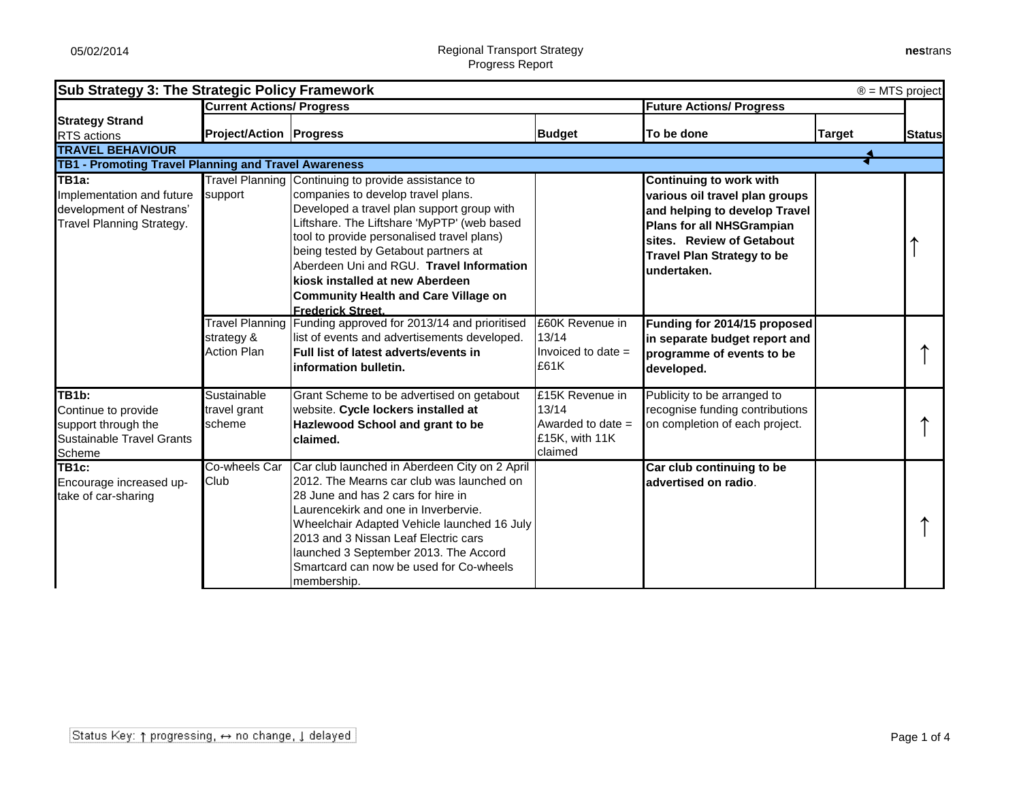| Sub Strategy 3: The Strategic Policy Framework<br>$\circledR$ = MTS project |                                  |                                                     |                                 |                                   |               |               |  |
|-----------------------------------------------------------------------------|----------------------------------|-----------------------------------------------------|---------------------------------|-----------------------------------|---------------|---------------|--|
|                                                                             | <b>Current Actions/ Progress</b> |                                                     | <b>Future Actions/ Progress</b> |                                   |               |               |  |
| <b>Strategy Strand</b>                                                      |                                  |                                                     |                                 | To be done                        |               |               |  |
| <b>RTS</b> actions                                                          | <b>Project/Action   Progress</b> |                                                     | <b>Budget</b>                   |                                   | <b>Target</b> | <b>Status</b> |  |
| <b>TRAVEL BEHAVIOUR</b>                                                     |                                  |                                                     |                                 |                                   |               |               |  |
| <b>TB1 - Promoting Travel Planning and Travel Awareness</b>                 |                                  |                                                     |                                 |                                   |               |               |  |
| TB1a:                                                                       |                                  | Travel Planning Continuing to provide assistance to |                                 | Continuing to work with           |               |               |  |
| Implementation and future                                                   | support                          | companies to develop travel plans.                  |                                 | various oil travel plan groups    |               |               |  |
| development of Nestrans'                                                    |                                  | Developed a travel plan support group with          |                                 | and helping to develop Travel     |               |               |  |
| <b>Travel Planning Strategy.</b>                                            |                                  | Liftshare. The Liftshare 'MyPTP' (web based         |                                 | Plans for all NHSGrampian         |               |               |  |
|                                                                             |                                  | tool to provide personalised travel plans)          |                                 | sites. Review of Getabout         |               |               |  |
|                                                                             |                                  | being tested by Getabout partners at                |                                 | <b>Travel Plan Strategy to be</b> |               |               |  |
|                                                                             |                                  | Aberdeen Uni and RGU. Travel Information            |                                 | undertaken.                       |               |               |  |
|                                                                             |                                  | kiosk installed at new Aberdeen                     |                                 |                                   |               |               |  |
|                                                                             |                                  | <b>Community Health and Care Village on</b>         |                                 |                                   |               |               |  |
|                                                                             |                                  | <b>Frederick Street.</b>                            |                                 |                                   |               |               |  |
|                                                                             | <b>Travel Planning</b>           | Funding approved for 2013/14 and prioritised        | £60K Revenue in                 | Funding for 2014/15 proposed      |               |               |  |
|                                                                             | strategy &                       | list of events and advertisements developed.        | 13/14                           | in separate budget report and     |               |               |  |
|                                                                             | <b>Action Plan</b>               | Full list of latest adverts/events in               | Invoiced to date $=$            | programme of events to be         |               |               |  |
|                                                                             |                                  | information bulletin.                               | £61K                            | developed.                        |               |               |  |
| TB1b:                                                                       | <b>Sustainable</b>               | Grant Scheme to be advertised on getabout           | £15K Revenue in                 | Publicity to be arranged to       |               |               |  |
| Continue to provide                                                         | travel grant                     | website. Cycle lockers installed at                 | 13/14                           | recognise funding contributions   |               |               |  |
| support through the                                                         | scheme                           | Hazlewood School and grant to be                    | Awarded to date $=$             | on completion of each project.    |               |               |  |
| Sustainable Travel Grants                                                   |                                  | claimed.                                            | £15K, with 11K                  |                                   |               |               |  |
| Scheme                                                                      |                                  |                                                     | claimed                         |                                   |               |               |  |
| TB1c:                                                                       | Co-wheels Car                    | Car club launched in Aberdeen City on 2 April       |                                 | Car club continuing to be         |               |               |  |
| Encourage increased up-                                                     | Club                             | 2012. The Mearns car club was launched on           |                                 | advertised on radio.              |               |               |  |
| take of car-sharing                                                         |                                  | 28 June and has 2 cars for hire in                  |                                 |                                   |               |               |  |
|                                                                             |                                  | Laurencekirk and one in Inverbervie.                |                                 |                                   |               |               |  |
|                                                                             |                                  | Wheelchair Adapted Vehicle launched 16 July         |                                 |                                   |               |               |  |
|                                                                             |                                  | 2013 and 3 Nissan Leaf Electric cars                |                                 |                                   |               |               |  |
|                                                                             |                                  | launched 3 September 2013. The Accord               |                                 |                                   |               |               |  |
|                                                                             |                                  | Smartcard can now be used for Co-wheels             |                                 |                                   |               |               |  |
|                                                                             |                                  | membership.                                         |                                 |                                   |               |               |  |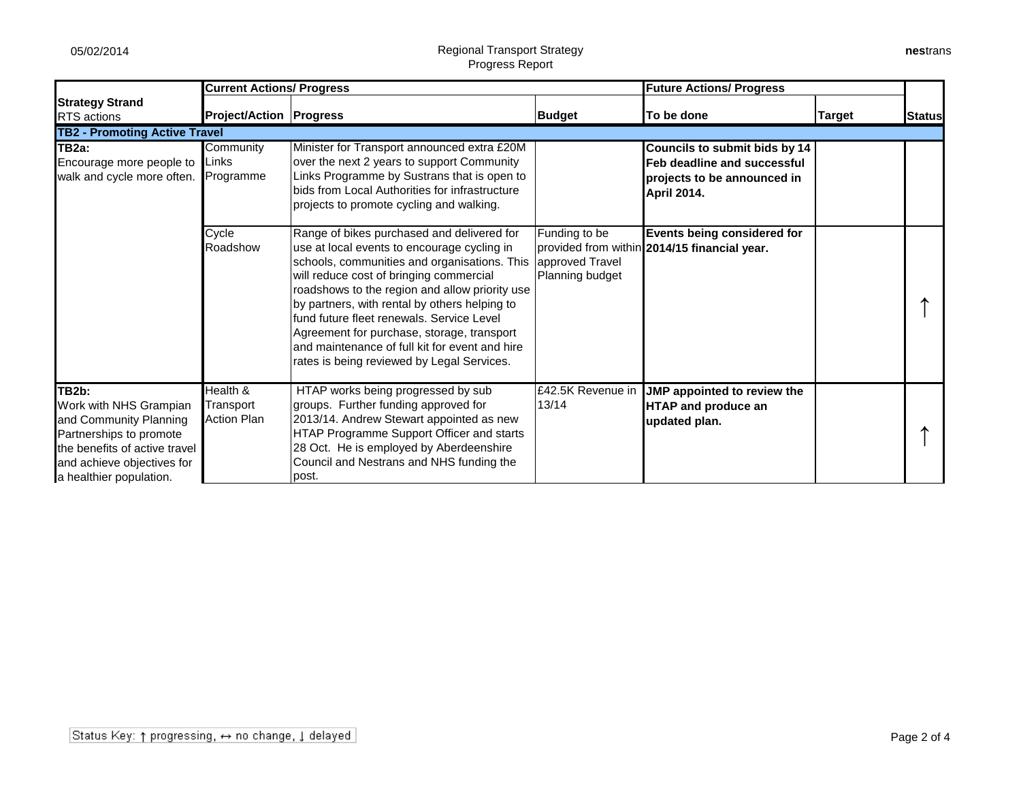## 05/02/2014 **Regional Transport Strategy** Progress Report

|                                                                                                                                                                                | <b>Current Actions/ Progress</b>            |                                                                                                                                                                                                                                                                                                                                                                                                                                                                                    | <b>Future Actions/ Progress</b>                     |                                                                                                                   |               |               |
|--------------------------------------------------------------------------------------------------------------------------------------------------------------------------------|---------------------------------------------|------------------------------------------------------------------------------------------------------------------------------------------------------------------------------------------------------------------------------------------------------------------------------------------------------------------------------------------------------------------------------------------------------------------------------------------------------------------------------------|-----------------------------------------------------|-------------------------------------------------------------------------------------------------------------------|---------------|---------------|
| <b>Strategy Strand</b><br><b>RTS</b> actions                                                                                                                                   | <b>Project/Action   Progress</b>            |                                                                                                                                                                                                                                                                                                                                                                                                                                                                                    | <b>Budget</b>                                       | To be done                                                                                                        | <b>Target</b> | <b>Status</b> |
| <b>TB2 - Promoting Active Travel</b>                                                                                                                                           |                                             |                                                                                                                                                                                                                                                                                                                                                                                                                                                                                    |                                                     |                                                                                                                   |               |               |
| TB <sub>2a</sub> :<br>Encourage more people to<br>walk and cycle more often.                                                                                                   | Community<br>Links<br>Programme             | Minister for Transport announced extra £20M<br>over the next 2 years to support Community<br>Links Programme by Sustrans that is open to<br>bids from Local Authorities for infrastructure<br>projects to promote cycling and walking.                                                                                                                                                                                                                                             |                                                     | Councils to submit bids by 14<br>Feb deadline and successful<br>projects to be announced in<br><b>April 2014.</b> |               |               |
|                                                                                                                                                                                | Cycle<br>Roadshow                           | Range of bikes purchased and delivered for<br>use at local events to encourage cycling in<br>schools, communities and organisations. This<br>will reduce cost of bringing commercial<br>roadshows to the region and allow priority use<br>by partners, with rental by others helping to<br>fund future fleet renewals. Service Level<br>Agreement for purchase, storage, transport<br>and maintenance of full kit for event and hire<br>rates is being reviewed by Legal Services. | Funding to be<br>approved Travel<br>Planning budget | <b>Events being considered for</b><br>provided from within 2014/15 financial year.                                |               |               |
| TB2b:<br>Work with NHS Grampian<br>and Community Planning<br>Partnerships to promote<br>the benefits of active travel<br>and achieve objectives for<br>a healthier population. | Health &<br>Transport<br><b>Action Plan</b> | HTAP works being progressed by sub<br>groups. Further funding approved for<br>2013/14. Andrew Stewart appointed as new<br>HTAP Programme Support Officer and starts<br>28 Oct. He is employed by Aberdeenshire<br>Council and Nestrans and NHS funding the<br>lpost.                                                                                                                                                                                                               | £42.5K Revenue in<br>13/14                          | JMP appointed to review the<br><b>HTAP and produce an</b><br>updated plan.                                        |               |               |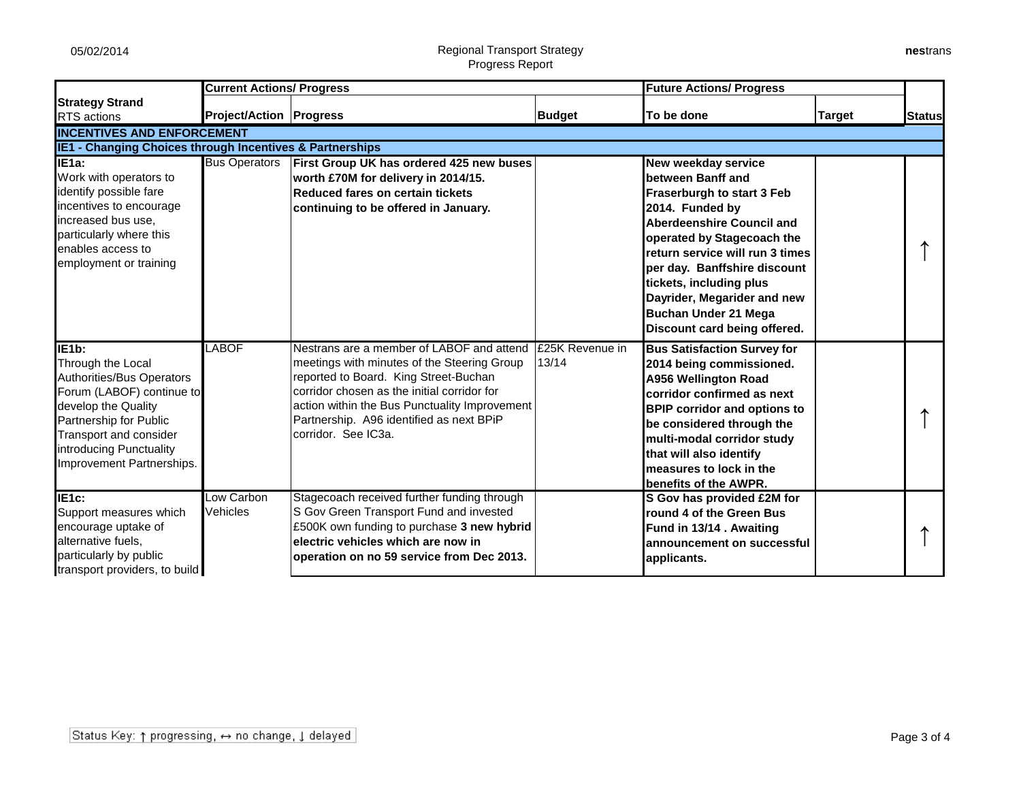## 05/02/2014 **Regional Transport Strategy** Progress Report

| nestrans |  |
|----------|--|
|----------|--|

|                                                                                                                                                                                                                                | <b>Current Actions/ Progress</b> |                                                                                                                                                                                                                                                                                                      | <b>Future Actions/ Progress</b> |                                                                                                                                                                                                                                                                                                                                                                |               |               |
|--------------------------------------------------------------------------------------------------------------------------------------------------------------------------------------------------------------------------------|----------------------------------|------------------------------------------------------------------------------------------------------------------------------------------------------------------------------------------------------------------------------------------------------------------------------------------------------|---------------------------------|----------------------------------------------------------------------------------------------------------------------------------------------------------------------------------------------------------------------------------------------------------------------------------------------------------------------------------------------------------------|---------------|---------------|
| <b>Strategy Strand</b><br><b>RTS</b> actions                                                                                                                                                                                   | <b>Project/Action Progress</b>   |                                                                                                                                                                                                                                                                                                      | <b>Budget</b>                   | To be done                                                                                                                                                                                                                                                                                                                                                     | <b>Target</b> | <b>Status</b> |
| <b>INCENTIVES AND ENFORCEMENT</b>                                                                                                                                                                                              |                                  |                                                                                                                                                                                                                                                                                                      |                                 |                                                                                                                                                                                                                                                                                                                                                                |               |               |
| IE1 - Changing Choices through Incentives & Partnerships                                                                                                                                                                       |                                  |                                                                                                                                                                                                                                                                                                      |                                 |                                                                                                                                                                                                                                                                                                                                                                |               |               |
| IE <sub>1a</sub> :<br>Work with operators to<br>identify possible fare<br>incentives to encourage<br>increased bus use.<br>particularly where this<br>enables access to<br>employment or training                              | <b>Bus Operators</b>             | First Group UK has ordered 425 new buses<br>worth £70M for delivery in 2014/15.<br><b>Reduced fares on certain tickets</b><br>continuing to be offered in January.                                                                                                                                   |                                 | <b>New weekday service</b><br>between Banff and<br>Fraserburgh to start 3 Feb<br>2014. Funded by<br><b>Aberdeenshire Council and</b><br>operated by Stagecoach the<br>return service will run 3 times<br>per day. Banffshire discount<br>tickets, including plus<br>Dayrider, Megarider and new<br><b>Buchan Under 21 Mega</b><br>Discount card being offered. |               |               |
| IE1b:<br>Through the Local<br>Authorities/Bus Operators<br>Forum (LABOF) continue to<br>develop the Quality<br>Partnership for Public<br><b>Transport and consider</b><br>introducing Punctuality<br>Improvement Partnerships. | <b>LABOF</b>                     | Nestrans are a member of LABOF and attend<br>meetings with minutes of the Steering Group<br>reported to Board. King Street-Buchan<br>corridor chosen as the initial corridor for<br>action within the Bus Punctuality Improvement<br>Partnership. A96 identified as next BPiP<br>corridor. See IC3a. | £25K Revenue in<br>13/14        | <b>Bus Satisfaction Survey for</b><br>2014 being commissioned.<br><b>A956 Wellington Road</b><br>corridor confirmed as next<br><b>BPIP corridor and options to</b><br>be considered through the<br>multi-modal corridor study<br>that will also identify<br>measures to lock in the<br>benefits of the AWPR.                                                   |               |               |
| IE1c:<br>Support measures which<br>encourage uptake of<br>alternative fuels,<br>particularly by public<br>transport providers, to build                                                                                        | Low Carbon<br>Vehicles           | Stagecoach received further funding through<br>S Gov Green Transport Fund and invested<br>£500K own funding to purchase 3 new hybrid<br>electric vehicles which are now in<br>operation on no 59 service from Dec 2013.                                                                              |                                 | S Gov has provided £2M for<br>round 4 of the Green Bus<br>Fund in 13/14. Awaiting<br>announcement on successful<br>applicants.                                                                                                                                                                                                                                 |               |               |